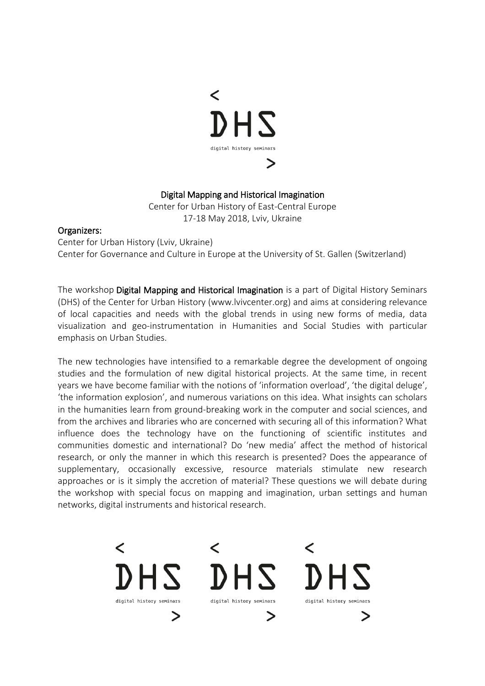

### Digital Mapping and Historical Imagination

Center for Urban History of East-Central Europe 17-18 May 2018, Lviv, Ukraine

#### Organizers:

Center for Urban History (Lviv, Ukraine) Center for Governance and Culture in Europe at the University of St. Gallen (Switzerland)

The workshop Digital Mapping and Historical Imagination is a part of Digital History Seminars (DHS) of the Center for Urban History [\(www.lvivcenter.org\)](http://www.lvivcenter.org/) and aims at considering relevance of local capacities and needs with the global trends in using new forms of media, data visualization and geo-instrumentation in Humanities and Social Studies with particular emphasis on Urban Studies.

The new technologies have intensified to a remarkable degree the development of ongoing studies and the formulation of new digital historical projects. At the same time, in recent years we have become familiar with the notions of 'information overload', 'the digital deluge', 'the information explosion', and numerous variations on this idea. What insights can scholars in the humanities learn from ground-breaking work in the computer and social sciences, and from the archives and libraries who are concerned with securing all of this information? What influence does the technology have on the functioning of scientific institutes and communities domestic and international? Do 'new media' affect the method of historical research, or only the manner in which this research is presented? Does the appearance of supplementary, occasionally excessive, resource materials stimulate new research approaches or is it simply the accretion of material? These questions we will debate during the workshop with special focus on mapping and imagination, urban settings and human networks, digital instruments and historical research.

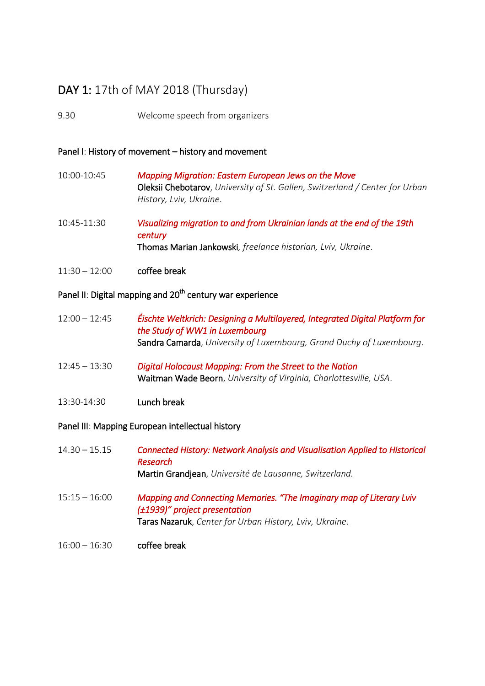# DAY 1: 17th of MAY 2018 (Thursday)

9.30 Welcome speech from organizers

#### Panel I: History of movement – history and movement

- 10:00-10:45 *Mapping Migration: Eastern European Jews on the Move*  Oleksii Chebotarov, *University of St. Gallen, Switzerland / Center for Urban History, Lviv, Ukraine*.
- 10:45-11:30 *Visualizing migration to and from Ukrainian lands at the end of the 19th century*  Thomas Marian Jankowski*, freelance historian, Lviv, Ukraine*.
- 11:30 12:00 coffee break

## Panel II: Digital mapping and 20<sup>th</sup> century war experience

- 12:00 12:45 *Éischte Weltkrich: Designing a Multilayered, Integrated Digital Platform for the Study of WW1 in Luxembourg*  Sandra Camarda, *University of Luxembourg, Grand Duchy of Luxembourg*.
- 12:45 13:30 *Digital Holocaust Mapping: From the Street to the Nation*  Waitman Wade Beorn, *University of Virginia, Charlottesville, USA*.
- 13:30-14:30 Lunch break

#### Panel III: Mapping European intellectual history

| $14.30 - 15.15$ | <b>Connected History: Network Analysis and Visualisation Applied to Historical</b><br>Research<br>Martin Grandjean, Université de Lausanne, Switzerland.         |
|-----------------|------------------------------------------------------------------------------------------------------------------------------------------------------------------|
| $15:15 - 16:00$ | Mapping and Connecting Memories. "The Imaginary map of Literary Lviv<br>(±1939)" project presentation<br>Taras Nazaruk, Center for Urban History, Lviv, Ukraine. |
| $16:00 - 16:30$ | coffee break                                                                                                                                                     |